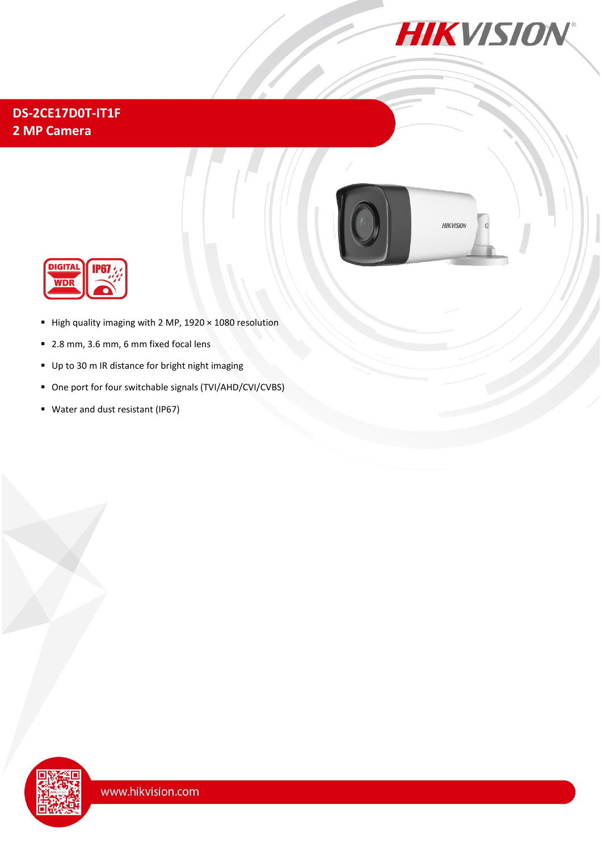

## **DS-2CE17D0T-IT1F 2 MP Camera**



**DIGITAL IP67 WDR** 

- $\blacksquare$  High quality imaging with 2 MP, 1920  $\times$  1080 resolution
- 2.8 mm, 3.6 mm, 6 mm fixed focal lens
- Up to 30 m IR distance for bright night imaging
- One port for four switchable signals (TVI/AHD/CVI/CVBS)
- Water and dust resistant (IP67)

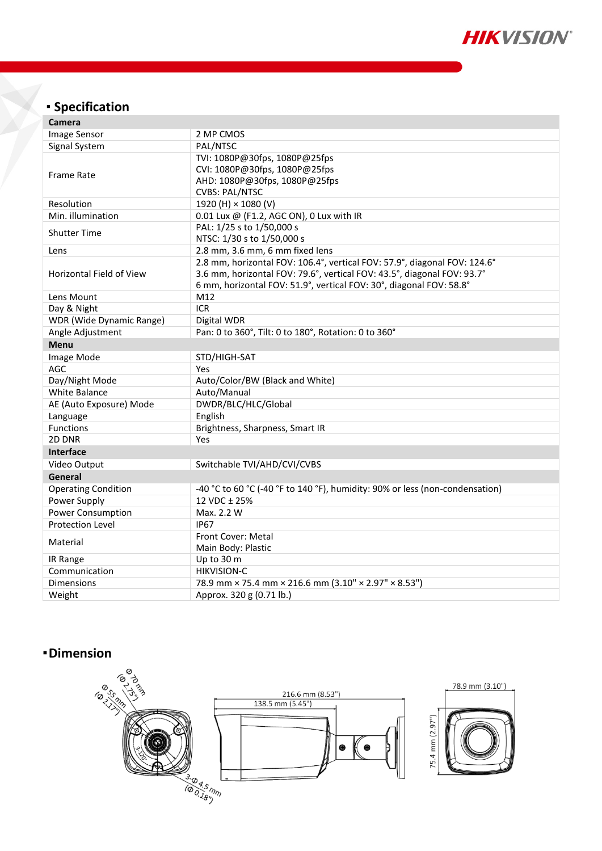

# **Specification**

| <b>Camera</b>                   |                                                                              |
|---------------------------------|------------------------------------------------------------------------------|
| Image Sensor                    | 2 MP CMOS                                                                    |
| Signal System                   | PAL/NTSC                                                                     |
| <b>Frame Rate</b>               | TVI: 1080P@30fps, 1080P@25fps                                                |
|                                 | CVI: 1080P@30fps, 1080P@25fps                                                |
|                                 | AHD: 1080P@30fps, 1080P@25fps                                                |
|                                 | <b>CVBS: PAL/NTSC</b>                                                        |
| Resolution                      | 1920 (H) × 1080 (V)                                                          |
| Min. illumination               | 0.01 Lux @ (F1.2, AGC ON), 0 Lux with IR                                     |
| <b>Shutter Time</b>             | PAL: 1/25 s to 1/50,000 s                                                    |
|                                 | NTSC: 1/30 s to 1/50,000 s                                                   |
| Lens                            | 2.8 mm, 3.6 mm, 6 mm fixed lens                                              |
| <b>Horizontal Field of View</b> | 2.8 mm, horizontal FOV: 106.4°, vertical FOV: 57.9°, diagonal FOV: 124.6°    |
|                                 | 3.6 mm, horizontal FOV: 79.6°, vertical FOV: 43.5°, diagonal FOV: 93.7°      |
|                                 | 6 mm, horizontal FOV: 51.9°, vertical FOV: 30°, diagonal FOV: 58.8°          |
| Lens Mount                      | M12                                                                          |
| Day & Night                     | <b>ICR</b>                                                                   |
| <b>WDR</b> (Wide Dynamic Range) | Digital WDR                                                                  |
| Angle Adjustment                | Pan: 0 to 360°, Tilt: 0 to 180°, Rotation: 0 to 360°                         |
| Menu                            |                                                                              |
| Image Mode                      | STD/HIGH-SAT                                                                 |
| AGC                             | Yes                                                                          |
| Day/Night Mode                  | Auto/Color/BW (Black and White)                                              |
| <b>White Balance</b>            | Auto/Manual                                                                  |
| AE (Auto Exposure) Mode         | DWDR/BLC/HLC/Global                                                          |
| Language                        | English                                                                      |
| <b>Functions</b>                | Brightness, Sharpness, Smart IR                                              |
| 2D DNR                          | Yes                                                                          |
| <b>Interface</b>                |                                                                              |
| Video Output                    | Switchable TVI/AHD/CVI/CVBS                                                  |
| General                         |                                                                              |
| <b>Operating Condition</b>      | -40 °C to 60 °C (-40 °F to 140 °F), humidity: 90% or less (non-condensation) |
| Power Supply                    | 12 VDC ± 25%                                                                 |
| Power Consumption               | Max. 2.2 W                                                                   |
| <b>Protection Level</b>         | <b>IP67</b>                                                                  |
| Material                        | Front Cover: Metal                                                           |
|                                 | Main Body: Plastic                                                           |
| IR Range                        | Up to 30 m                                                                   |
| Communication                   | <b>HIKVISION-C</b>                                                           |
| <b>Dimensions</b>               | 78.9 mm × 75.4 mm × 216.6 mm (3.10" × 2.97" × 8.53")                         |
| Weight                          | Approx. 320 g (0.71 lb.)                                                     |

### **Dimension**